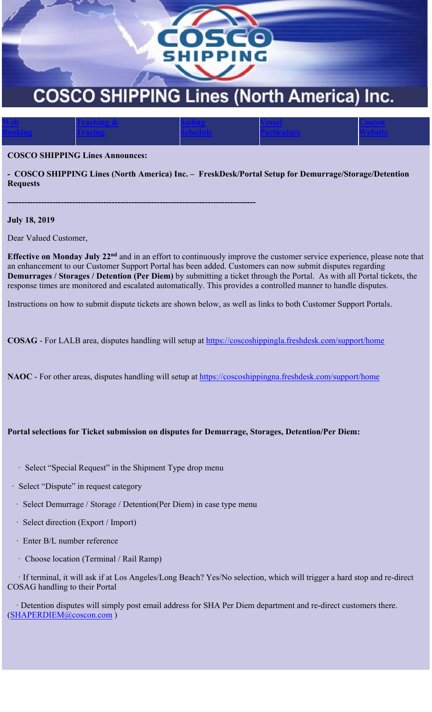

**Vessel Particulars** **Coscon Website**

## **COSCO SHIPPING Lines Announces:**

**Tracking & Tracing**

**----------------------------------------------------------------------------------------**

**- COSCO SHIPPING Lines (North America) Inc. – FreskDesk/Portal Setup for Demurrage/Storage/Detention Requests**

**Sailing Schedule**

**July 18, 2019** 

**Web Booking**

Dear Valued Customer,

**Effective on Monday July 22nd** and in an effort to continuously improve the customer service experience, please note that an enhancement to our Customer Support Portal has been added. Customers can now submit disputes regarding **Demurrages / Storages / Detention (Per Diem)** by submitting a ticket through the Portal. As with all Portal tickets, the response times are monitored and escalated automatically. This provides a controlled manner to handle disputes.

Instructions on how to submit dispute tickets are shown below, as well as links to both Customer Support Portals.

COSAG - For LALB area, disputes handling will setup at https://coscoshippingla.freshdesk.com/support/home

NAOC - For other areas, disputes handling will setup at https://coscoshippingna.freshdesk.com/support/home

## **Portal selections for Ticket submission on disputes for Demurrage, Storages, Detention/Per Diem:**

- ꞏ Select "Special Request" in the Shipment Type drop menu
- ꞏ Select "Dispute" in request category
- ꞏ Select Demurrage / Storage / Detention(Per Diem) in case type menu
- ꞏ Select direction (Export / Import)
- ꞏ Enter B/L number reference
- ꞏ Choose location (Terminal / Rail Ramp)

 ꞏ If terminal, it will ask if at Los Angeles/Long Beach? Yes/No selection, which will trigger a hard stop and re-direct COSAG handling to their Portal

 ꞏ Detention disputes will simply post email address for SHA Per Diem department and re-direct customers there. (SHAPERDIEM@coscon.com )